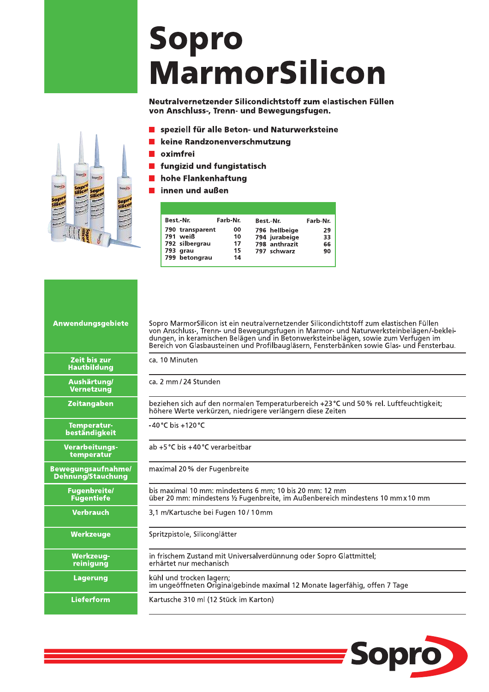## Sopro **MarmorSilicon**

Neutralvernetzender Silicondichtstoff zum elastischen Füllen von Anschluss-, Trenn- und Bewegungsfugen.

- speziell für alle Beton- und Naturwerksteine  $\mathcal{L}_{\mathcal{A}}$
- keine Randzonenverschmutzung
- oximfrei
- fungizid und fungistatisch  $\blacksquare$
- hohe Flankenhaftung  $\blacksquare$
- innen und außen

| Best.-Nr.       | Farb-Nr. | Best.-Nr.     | Farb-Nr. |
|-----------------|----------|---------------|----------|
| 790 transparent | 00       | 796 hellbeige | 29       |
| 791 weiß        | 10       | 794 jurabeige | 33       |
| 792 silbergrau  | 17       | 798 anthrazit | 66       |
| 793 grau        | 15       | 797 schwarz   | 90       |
| 799 betongrau   | 14       |               |          |
|                 |          |               |          |

Sopro MarmorSilicon ist ein neutralvernetzender Silicondichtstoff zum elastischen Füllen<br>von Anschluss-, Trenn- und Bewegungsfugen in Marmor- und Naturwerksteinbelägen/-beklei-<br>dungen, in keramischen Belägen und in Betonwe

|                                            | Bereich von Glasbausteinen und Profilibaugiasern, Fensterbanken sowie Glas- und Fensterbau.                                                           |  |  |  |  |  |
|--------------------------------------------|-------------------------------------------------------------------------------------------------------------------------------------------------------|--|--|--|--|--|
| Zeit bis zur<br><b>Hautbildung</b>         | ca. 10 Minuten                                                                                                                                        |  |  |  |  |  |
| Aushärtung/<br><b>Vernetzung</b>           | ca. 2 mm / 24 Stunden                                                                                                                                 |  |  |  |  |  |
| <b>Zeitangaben</b>                         | beziehen sich auf den normalen Temperaturbereich +23 °C und 50 % rel. Luftfeuchtigkeit;<br>höhere Werte verkürzen, niedrigere verlängern diese Zeiten |  |  |  |  |  |
| <b>Temperatur-</b><br><b>beständigkeit</b> | $-40^{\circ}$ C bis $+120^{\circ}$ C                                                                                                                  |  |  |  |  |  |
| Verarbeitungs-<br>temperatur               | ab +5 °C bis +40 °C verarbeitbar                                                                                                                      |  |  |  |  |  |
| wegungsaufnahme/<br>ehnung/Stauchung       | maximal 20 % der Fugenbreite                                                                                                                          |  |  |  |  |  |
| <b>Fugenbreite/</b><br><b>Fugentiefe</b>   | bis maximal 10 mm: mindestens 6 mm; 10 bis 20 mm: 12 mm<br>über 20 mm: mindestens ½ Fugenbreite, im Außenbereich mindestens 10 mm x 10 mm             |  |  |  |  |  |
| <b>Verbrauch</b>                           | 3,1 m/Kartusche bei Fugen 10 / 10mm                                                                                                                   |  |  |  |  |  |
| <b>Werkzeuge</b>                           | Spritzpistole, Siliconglätter                                                                                                                         |  |  |  |  |  |
| <b>Werkzeug-</b><br>reinigung              | in frischem Zustand mit Universalverdünnung oder Sopro Glattmittel;<br>erhärtet nur mechanisch                                                        |  |  |  |  |  |
| <b>Lagerung</b>                            | kühl und trocken lagern;<br>im ungeöffneten Originalgebinde maximal 12 Monate lagerfähig, offen 7 Tage                                                |  |  |  |  |  |
| <b>Lieferform</b>                          | Kartusche 310 ml (12 Stück im Karton)                                                                                                                 |  |  |  |  |  |





Anwendungsgebiete

 $B<sub>0</sub>$ F